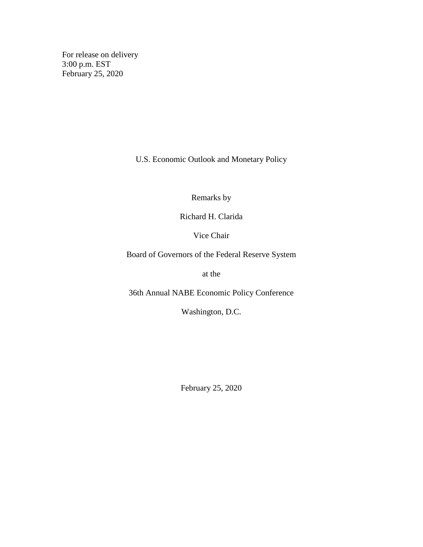For release on delivery 3:00 p.m. EST February 25, 2020

U.S. Economic Outlook and Monetary Policy

Remarks by

Richard H. Clarida

Vice Chair

Board of Governors of the Federal Reserve System

at the

36th Annual NABE Economic Policy Conference

Washington, D.C.

February 25, 2020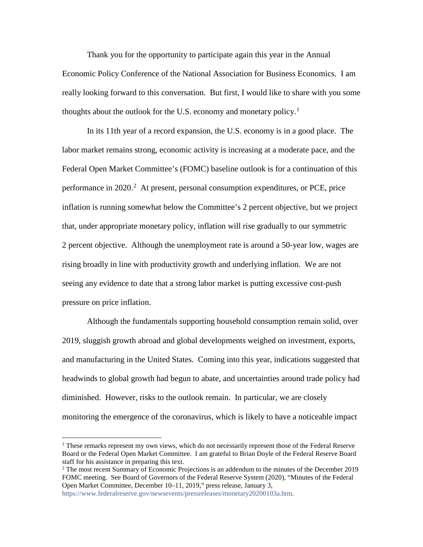Thank you for the opportunity to participate again this year in the Annual Economic Policy Conference of the National Association for Business Economics. I am really looking forward to this conversation. But first, I would like to share with you some thoughts about the outlook for the U.S. economy and monetary policy.<sup>[1](#page-1-0)</sup>

In its 11th year of a record expansion, the U.S. economy is in a good place. The labor market remains strong, economic activity is increasing at a moderate pace, and the Federal Open Market Committee's (FOMC) baseline outlook is for a continuation of this performance in [2](#page-1-1)020.<sup>2</sup> At present, personal consumption expenditures, or PCE, price inflation is running somewhat below the Committee's 2 percent objective, but we project that, under appropriate monetary policy, inflation will rise gradually to our symmetric 2 percent objective. Although the unemployment rate is around a 50-year low, wages are rising broadly in line with productivity growth and underlying inflation. We are not seeing any evidence to date that a strong labor market is putting excessive cost-push pressure on price inflation.

Although the fundamentals supporting household consumption remain solid, over 2019, sluggish growth abroad and global developments weighed on investment, exports, and manufacturing in the United States. Coming into this year, indications suggested that headwinds to global growth had begun to abate, and uncertainties around trade policy had diminished. However, risks to the outlook remain. In particular, we are closely monitoring the emergence of the coronavirus, which is likely to have a noticeable impact

<span id="page-1-0"></span> <sup>1</sup> These remarks represent my own views, which do not necessarily represent those of the Federal Reserve Board or the Federal Open Market Committee. I am grateful to Brian Doyle of the Federal Reserve Board staff for his assistance in preparing this text.

<span id="page-1-1"></span><sup>&</sup>lt;sup>2</sup> The most recent Summary of Economic Projections is an addendum to the minutes of the December 2019 FOMC meeting. See Board of Governors of the Federal Reserve System (2020), "Minutes of the Federal Open Market Committee, December 10–11, 2019," press release, January 3,

[https://www.federalreserve.gov/newsevents/pressreleases/monetary20200103a.htm.](https://www.federalreserve.gov/newsevents/pressreleases/monetary20200103a.htm)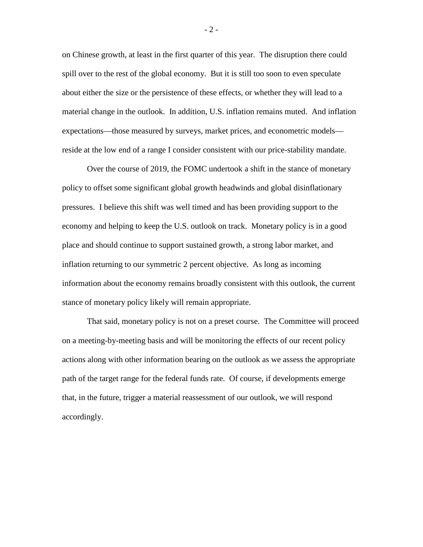on Chinese growth, at least in the first quarter of this year. The disruption there could spill over to the rest of the global economy. But it is still too soon to even speculate about either the size or the persistence of these effects, or whether they will lead to a material change in the outlook. In addition, U.S. inflation remains muted. And inflation expectations—those measured by surveys, market prices, and econometric models reside at the low end of a range I consider consistent with our price-stability mandate.

Over the course of 2019, the FOMC undertook a shift in the stance of monetary policy to offset some significant global growth headwinds and global disinflationary pressures. I believe this shift was well timed and has been providing support to the economy and helping to keep the U.S. outlook on track. Monetary policy is in a good place and should continue to support sustained growth, a strong labor market, and inflation returning to our symmetric 2 percent objective. As long as incoming information about the economy remains broadly consistent with this outlook, the current stance of monetary policy likely will remain appropriate.

That said, monetary policy is not on a preset course. The Committee will proceed on a meeting-by-meeting basis and will be monitoring the effects of our recent policy actions along with other information bearing on the outlook as we assess the appropriate path of the target range for the federal funds rate. Of course, if developments emerge that, in the future, trigger a material reassessment of our outlook, we will respond accordingly.

- 2 -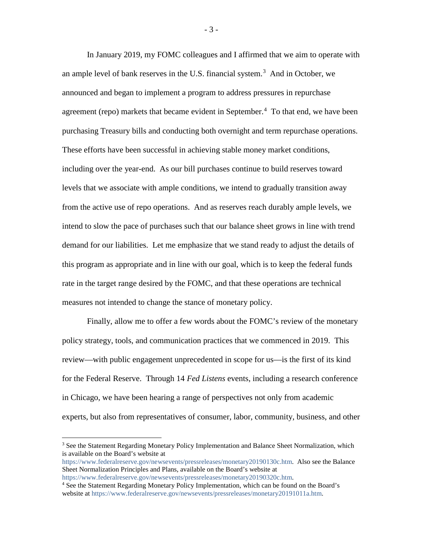In January 2019, my FOMC colleagues and I affirmed that we aim to operate with an ample level of bank reserves in the U.S. financial system. [3](#page-3-0) And in October, we announced and began to implement a program to address pressures in repurchase agreement (repo) markets that became evident in September.<sup>[4](#page-3-1)</sup> To that end, we have been purchasing Treasury bills and conducting both overnight and term repurchase operations. These efforts have been successful in achieving stable money market conditions, including over the year-end. As our bill purchases continue to build reserves toward levels that we associate with ample conditions, we intend to gradually transition away from the active use of repo operations. And as reserves reach durably ample levels, we intend to slow the pace of purchases such that our balance sheet grows in line with trend demand for our liabilities. Let me emphasize that we stand ready to adjust the details of this program as appropriate and in line with our goal, which is to keep the federal funds rate in the target range desired by the FOMC, and that these operations are technical measures not intended to change the stance of monetary policy.

Finally, allow me to offer a few words about the FOMC's review of the monetary policy strategy, tools, and communication practices that we commenced in 2019. This review—with public engagement unprecedented in scope for us—is the first of its kind for the Federal Reserve. Through 14 *Fed Listens* events, including a research conference in Chicago, we have been hearing a range of perspectives not only from academic experts, but also from representatives of consumer, labor, community, business, and other

<span id="page-3-0"></span><sup>&</sup>lt;sup>3</sup> See the Statement Regarding Monetary Policy Implementation and Balance Sheet Normalization, which is available on the Board's website at

[https://www.federalreserve.gov/newsevents/pressreleases/monetary20190130c.htm.](https://www.federalreserve.gov/newsevents/pressreleases/monetary20190130c.htm) Also see the Balance Sheet Normalization Principles and Plans, available on the Board's website at

[https://www.federalreserve.gov/newsevents/pressreleases/monetary20190320c.htm.](https://www.federalreserve.gov/newsevents/pressreleases/monetary20190320c.htm)

<span id="page-3-1"></span><sup>4</sup> See the Statement Regarding Monetary Policy Implementation, which can be found on the Board's website at [https://www.federalreserve.gov/newsevents/pressreleases/monetary20191011a.htm.](https://www.federalreserve.gov/newsevents/pressreleases/monetary20191011a.htm)